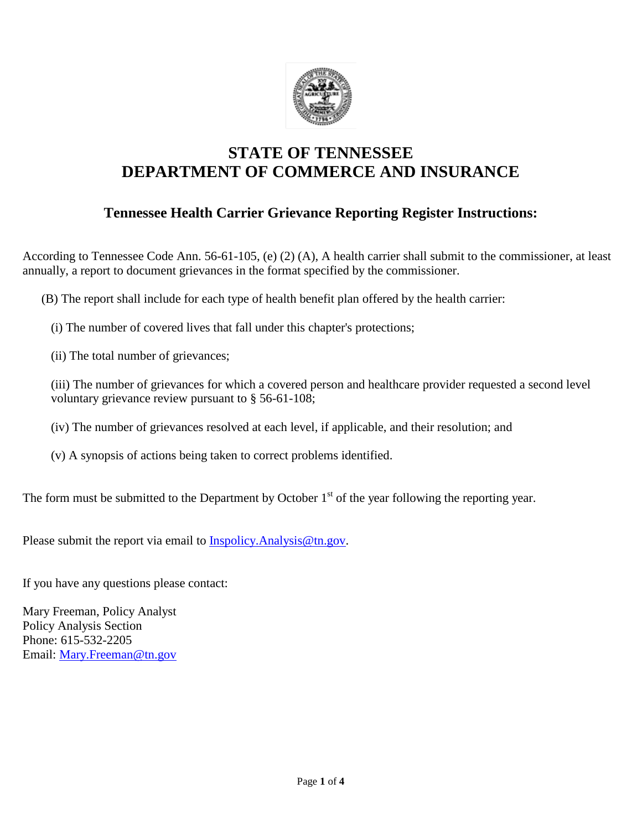

## **STATE OF TENNESSEE DEPARTMENT OF COMMERCE AND INSURANCE**

### **Tennessee Health Carrier Grievance Reporting Register Instructions:**

According to Tennessee Code Ann. 56-61-105, (e) (2) (A), A health carrier shall submit to the commissioner, at least annually, a report to document grievances in the format specified by the commissioner.

(B) The report shall include for each type of health benefit plan offered by the health carrier:

(i) The number of covered lives that fall under this chapter's protections;

(ii) The total number of grievances;

(iii) The number of grievances for which a covered person and healthcare provider requested a second level voluntary grievance review pursuant to § 56-61-108;

(iv) The number of grievances resolved at each level, if applicable, and their resolution; and

(v) A synopsis of actions being taken to correct problems identified.

The form must be submitted to the Department by October  $1<sup>st</sup>$  of the year following the reporting year.

Please submit the report via email to [Inspolicy.Analysis@tn.gov.](mailto:Inspolicy.Analysis@tn.gov)

If you have any questions please contact:

Mary Freeman, Policy Analyst Policy Analysis Section Phone: 615-532-2205 Email: [Mary.Freeman@tn.gov](mailto:Mary.Freeman@tn.gov)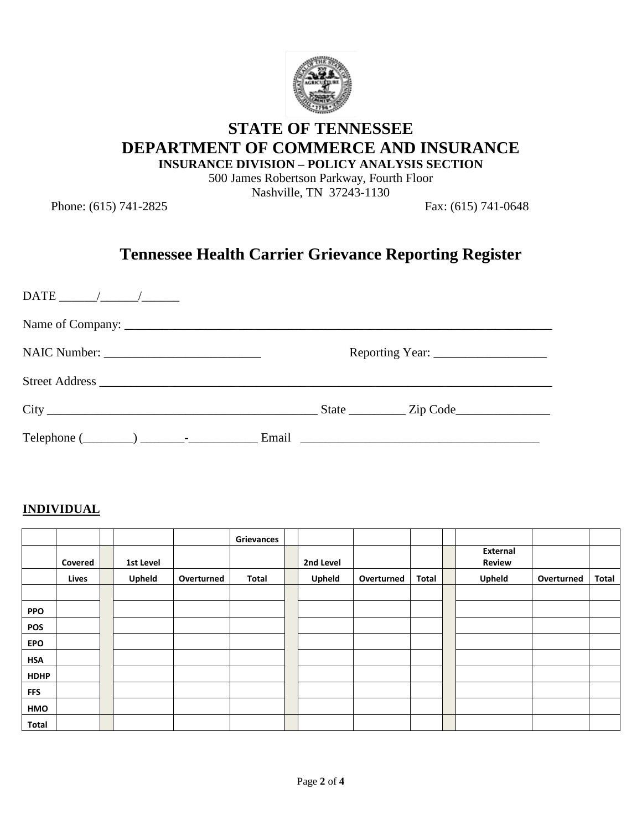

# **STATE OF TENNESSEE DEPARTMENT OF COMMERCE AND INSURANCE**

**INSURANCE DIVISION – POLICY ANALYSIS SECTION**

500 James Robertson Parkway, Fourth Floor Nashville, TN 37243-1130

Phone: (615) 741-2825 Fax: (615) 741-0648

# **Tennessee Health Carrier Grievance Reporting Register**

| $\text{DATE}$ / / |                                  |
|-------------------|----------------------------------|
|                   |                                  |
|                   |                                  |
|                   |                                  |
|                   | $\text{State}$ $\text{Zip Code}$ |
|                   |                                  |

#### **INDIVIDUAL**

|             |         |           |            | <b>Grievances</b> |           |            |       |                                  |            |       |
|-------------|---------|-----------|------------|-------------------|-----------|------------|-------|----------------------------------|------------|-------|
|             | Covered | 1st Level |            |                   | 2nd Level |            |       | <b>External</b><br><b>Review</b> |            |       |
|             | Lives   | Upheld    | Overturned | Total             | Upheld    | Overturned | Total | Upheld                           | Overturned | Total |
|             |         |           |            |                   |           |            |       |                                  |            |       |
| <b>PPO</b>  |         |           |            |                   |           |            |       |                                  |            |       |
| <b>POS</b>  |         |           |            |                   |           |            |       |                                  |            |       |
| <b>EPO</b>  |         |           |            |                   |           |            |       |                                  |            |       |
| <b>HSA</b>  |         |           |            |                   |           |            |       |                                  |            |       |
| <b>HDHP</b> |         |           |            |                   |           |            |       |                                  |            |       |
| <b>FFS</b>  |         |           |            |                   |           |            |       |                                  |            |       |
| HMO         |         |           |            |                   |           |            |       |                                  |            |       |
| Total       |         |           |            |                   |           |            |       |                                  |            |       |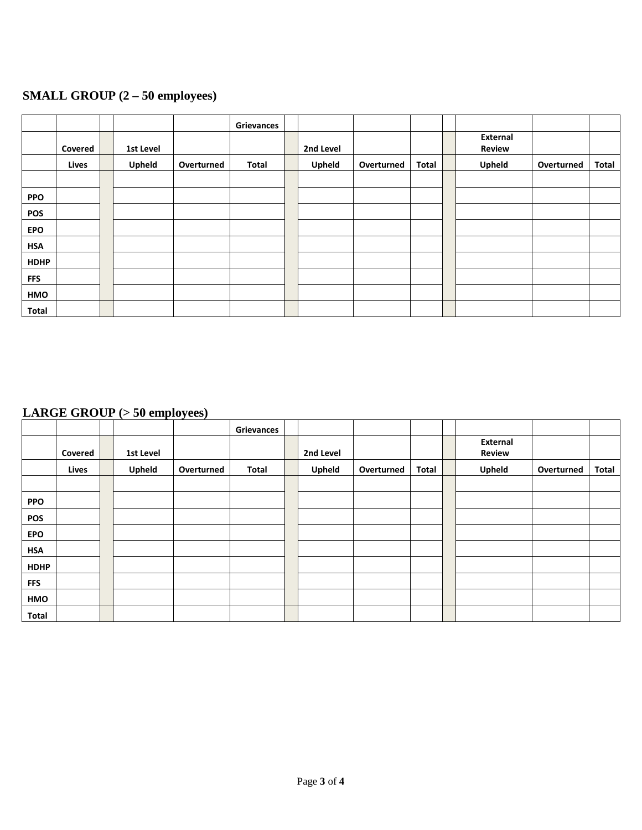## **SMALL GROUP (2 – 50 employees)**

|              |         |           |            | Grievances |           |            |       |               |            |              |
|--------------|---------|-----------|------------|------------|-----------|------------|-------|---------------|------------|--------------|
|              |         |           |            |            |           |            |       | External      |            |              |
|              | Covered | 1st Level |            |            | 2nd Level |            |       | <b>Review</b> |            |              |
|              | Lives   | Upheld    | Overturned | Total      | Upheld    | Overturned | Total | Upheld        | Overturned | <b>Total</b> |
|              |         |           |            |            |           |            |       |               |            |              |
| <b>PPO</b>   |         |           |            |            |           |            |       |               |            |              |
| <b>POS</b>   |         |           |            |            |           |            |       |               |            |              |
| <b>EPO</b>   |         |           |            |            |           |            |       |               |            |              |
| <b>HSA</b>   |         |           |            |            |           |            |       |               |            |              |
| <b>HDHP</b>  |         |           |            |            |           |            |       |               |            |              |
| <b>FFS</b>   |         |           |            |            |           |            |       |               |            |              |
| HMO          |         |           |            |            |           |            |       |               |            |              |
| <b>Total</b> |         |           |            |            |           |            |       |               |            |              |

### **LARGE GROUP (> 50 employees)**

|              |         |           |            | Grievances |           |            |       |                 |            |       |
|--------------|---------|-----------|------------|------------|-----------|------------|-------|-----------------|------------|-------|
|              |         |           |            |            |           |            |       | <b>External</b> |            |       |
|              | Covered | 1st Level |            |            | 2nd Level |            |       | <b>Review</b>   |            |       |
|              | Lives   | Upheld    | Overturned | Total      | Upheld    | Overturned | Total | <b>Upheld</b>   | Overturned | Total |
|              |         |           |            |            |           |            |       |                 |            |       |
| <b>PPO</b>   |         |           |            |            |           |            |       |                 |            |       |
| <b>POS</b>   |         |           |            |            |           |            |       |                 |            |       |
| <b>EPO</b>   |         |           |            |            |           |            |       |                 |            |       |
| <b>HSA</b>   |         |           |            |            |           |            |       |                 |            |       |
| <b>HDHP</b>  |         |           |            |            |           |            |       |                 |            |       |
| <b>FFS</b>   |         |           |            |            |           |            |       |                 |            |       |
| HMO          |         |           |            |            |           |            |       |                 |            |       |
| <b>Total</b> |         |           |            |            |           |            |       |                 |            |       |